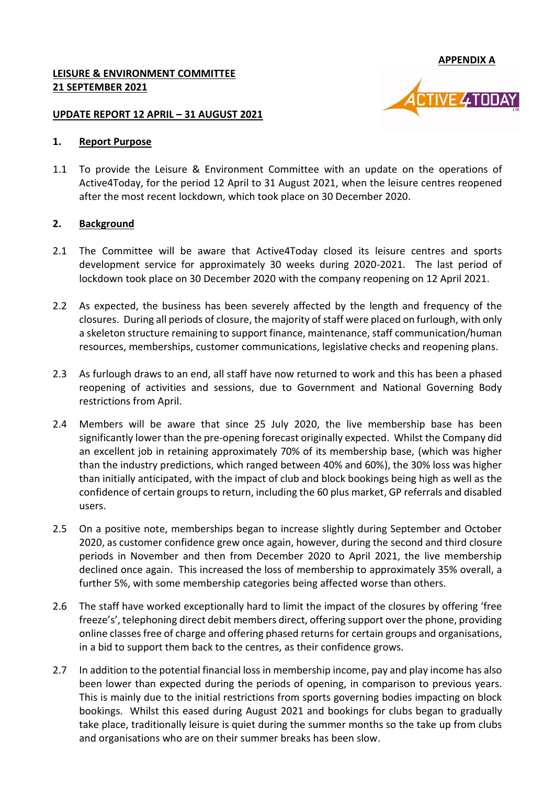**APPENDIX A**

**/E 4TODAY** 

#### **LEISURE & ENVIRONMENT COMMITTEE 21 SEPTEMBER 2021**

#### **UPDATE REPORT 12 APRIL – 31 AUGUST 2021**

#### **1. Report Purpose**

1.1 To provide the Leisure & Environment Committee with an update on the operations of Active4Today, for the period 12 April to 31 August 2021, when the leisure centres reopened after the most recent lockdown, which took place on 30 December 2020.

#### **2. Background**

- 2.1 The Committee will be aware that Active4Today closed its leisure centres and sports development service for approximately 30 weeks during 2020-2021. The last period of lockdown took place on 30 December 2020 with the company reopening on 12 April 2021.
- 2.2 As expected, the business has been severely affected by the length and frequency of the closures. During all periods of closure, the majority of staff were placed on furlough, with only a skeleton structure remaining to support finance, maintenance, staff communication/human resources, memberships, customer communications, legislative checks and reopening plans.
- 2.3 As furlough draws to an end, all staff have now returned to work and this has been a phased reopening of activities and sessions, due to Government and National Governing Body restrictions from April.
- 2.4 Members will be aware that since 25 July 2020, the live membership base has been significantly lower than the pre-opening forecast originally expected. Whilst the Company did an excellent job in retaining approximately 70% of its membership base, (which was higher than the industry predictions, which ranged between 40% and 60%), the 30% loss was higher than initially anticipated, with the impact of club and block bookings being high as well as the confidence of certain groups to return, including the 60 plus market, GP referrals and disabled users.
- 2.5 On a positive note, memberships began to increase slightly during September and October 2020, as customer confidence grew once again, however, during the second and third closure periods in November and then from December 2020 to April 2021, the live membership declined once again. This increased the loss of membership to approximately 35% overall, a further 5%, with some membership categories being affected worse than others.
- 2.6 The staff have worked exceptionally hard to limit the impact of the closures by offering 'free freeze's', telephoning direct debit members direct, offering support over the phone, providing online classes free of charge and offering phased returns for certain groups and organisations, in a bid to support them back to the centres, as their confidence grows.
- 2.7 In addition to the potential financial loss in membership income, pay and play income has also been lower than expected during the periods of opening, in comparison to previous years. This is mainly due to the initial restrictions from sports governing bodies impacting on block bookings. Whilst this eased during August 2021 and bookings for clubs began to gradually take place, traditionally leisure is quiet during the summer months so the take up from clubs and organisations who are on their summer breaks has been slow.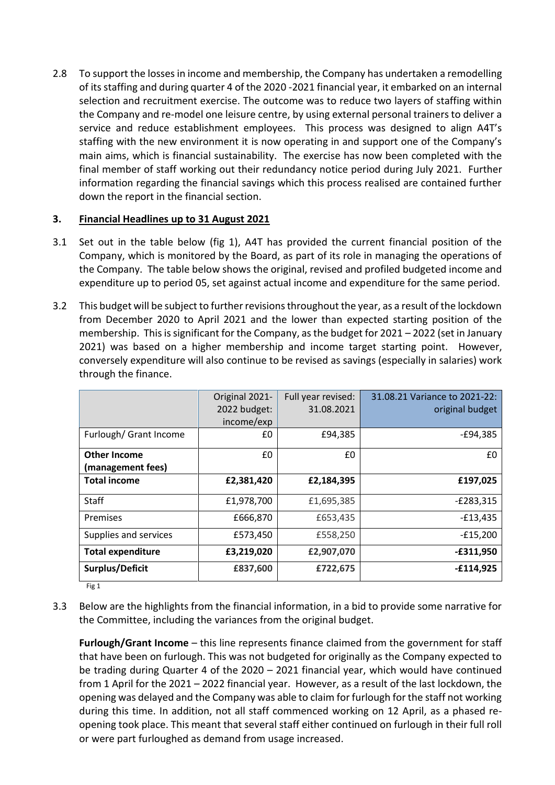2.8 To support the losses in income and membership, the Company has undertaken a remodelling of its staffing and during quarter 4 of the 2020 -2021 financial year, it embarked on an internal selection and recruitment exercise. The outcome was to reduce two layers of staffing within the Company and re-model one leisure centre, by using external personal trainers to deliver a service and reduce establishment employees. This process was designed to align A4T's staffing with the new environment it is now operating in and support one of the Company's main aims, which is financial sustainability. The exercise has now been completed with the final member of staff working out their redundancy notice period during July 2021. Further information regarding the financial savings which this process realised are contained further down the report in the financial section.

## **3. Financial Headlines up to 31 August 2021**

- 3.1 Set out in the table below (fig 1), A4T has provided the current financial position of the Company, which is monitored by the Board, as part of its role in managing the operations of the Company. The table below shows the original, revised and profiled budgeted income and expenditure up to period 05, set against actual income and expenditure for the same period.
- 3.2 This budget will be subject to further revisions throughout the year, as a result of the lockdown from December 2020 to April 2021 and the lower than expected starting position of the membership. This is significant for the Company, as the budget for 2021 – 2022 (set in January 2021) was based on a higher membership and income target starting point. However, conversely expenditure will also continue to be revised as savings (especially in salaries) work through the finance.

|                                          | Original 2021-<br>2022 budget:<br>income/exp | Full year revised:<br>31.08.2021 | 31.08.21 Variance to 2021-22:<br>original budget |
|------------------------------------------|----------------------------------------------|----------------------------------|--------------------------------------------------|
| Furlough/ Grant Income                   | £0                                           | £94,385                          | $-E94,385$                                       |
| <b>Other Income</b><br>(management fees) | £0                                           | £0                               | £0                                               |
| <b>Total income</b>                      | £2,381,420                                   | £2,184,395                       | £197,025                                         |
| <b>Staff</b>                             | £1,978,700                                   | £1,695,385                       | $-E283,315$                                      |
| Premises                                 | £666,870                                     | £653,435                         | $-E13,435$                                       |
| Supplies and services                    | £573,450                                     | £558,250                         | $-E15,200$                                       |
| <b>Total expenditure</b>                 | £3,219,020                                   | £2,907,070                       | $-£311,950$                                      |
| Surplus/Deficit                          | £837,600                                     | £722,675                         | $-£114,925$                                      |

Fig 1

3.3 Below are the highlights from the financial information, in a bid to provide some narrative for the Committee, including the variances from the original budget.

**Furlough/Grant Income** – this line represents finance claimed from the government for staff that have been on furlough. This was not budgeted for originally as the Company expected to be trading during Quarter 4 of the 2020 – 2021 financial year, which would have continued from 1 April for the 2021 – 2022 financial year. However, as a result of the last lockdown, the opening was delayed and the Company was able to claim for furlough for the staff not working during this time. In addition, not all staff commenced working on 12 April, as a phased reopening took place. This meant that several staff either continued on furlough in their full roll or were part furloughed as demand from usage increased.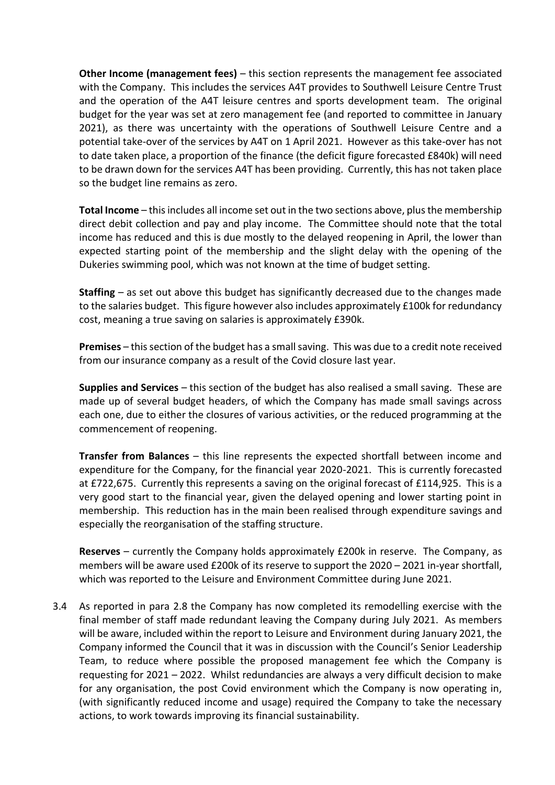**Other Income (management fees)** – this section represents the management fee associated with the Company. This includes the services A4T provides to Southwell Leisure Centre Trust and the operation of the A4T leisure centres and sports development team. The original budget for the year was set at zero management fee (and reported to committee in January 2021), as there was uncertainty with the operations of Southwell Leisure Centre and a potential take-over of the services by A4T on 1 April 2021. However as this take-over has not to date taken place, a proportion of the finance (the deficit figure forecasted £840k) will need to be drawn down for the services A4T has been providing. Currently, this has not taken place so the budget line remains as zero.

**Total Income** – this includes all income set out in the two sections above, plus the membership direct debit collection and pay and play income. The Committee should note that the total income has reduced and this is due mostly to the delayed reopening in April, the lower than expected starting point of the membership and the slight delay with the opening of the Dukeries swimming pool, which was not known at the time of budget setting.

**Staffing** – as set out above this budget has significantly decreased due to the changes made to the salaries budget. This figure however also includes approximately £100k for redundancy cost, meaning a true saving on salaries is approximately £390k.

**Premises** – this section of the budget has a small saving. This was due to a credit note received from our insurance company as a result of the Covid closure last year.

**Supplies and Services** – this section of the budget has also realised a small saving. These are made up of several budget headers, of which the Company has made small savings across each one, due to either the closures of various activities, or the reduced programming at the commencement of reopening.

**Transfer from Balances** – this line represents the expected shortfall between income and expenditure for the Company, for the financial year 2020-2021. This is currently forecasted at £722,675. Currently this represents a saving on the original forecast of £114,925. This is a very good start to the financial year, given the delayed opening and lower starting point in membership. This reduction has in the main been realised through expenditure savings and especially the reorganisation of the staffing structure.

**Reserves** – currently the Company holds approximately £200k in reserve. The Company, as members will be aware used £200k of its reserve to support the 2020 – 2021 in-year shortfall, which was reported to the Leisure and Environment Committee during June 2021.

3.4 As reported in para 2.8 the Company has now completed its remodelling exercise with the final member of staff made redundant leaving the Company during July 2021. As members will be aware, included within the report to Leisure and Environment during January 2021, the Company informed the Council that it was in discussion with the Council's Senior Leadership Team, to reduce where possible the proposed management fee which the Company is requesting for 2021 – 2022. Whilst redundancies are always a very difficult decision to make for any organisation, the post Covid environment which the Company is now operating in, (with significantly reduced income and usage) required the Company to take the necessary actions, to work towards improving its financial sustainability.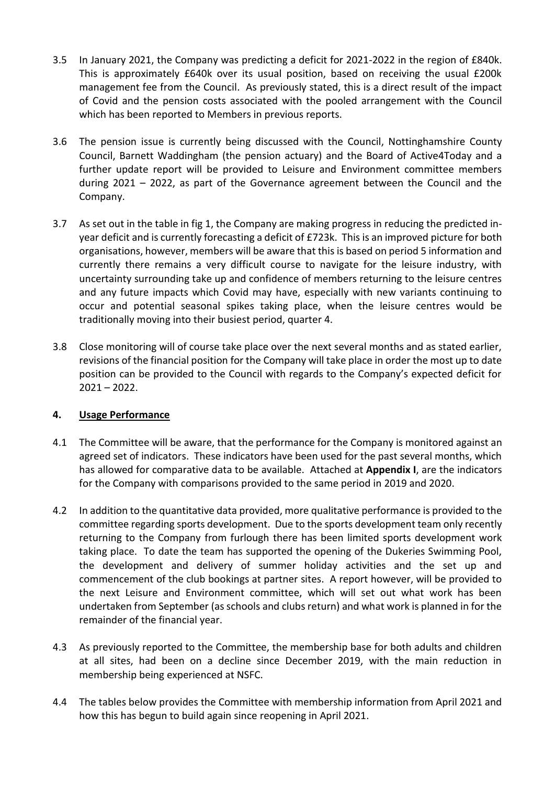- 3.5 In January 2021, the Company was predicting a deficit for 2021-2022 in the region of £840k. This is approximately £640k over its usual position, based on receiving the usual £200k management fee from the Council. As previously stated, this is a direct result of the impact of Covid and the pension costs associated with the pooled arrangement with the Council which has been reported to Members in previous reports.
- 3.6 The pension issue is currently being discussed with the Council, Nottinghamshire County Council, Barnett Waddingham (the pension actuary) and the Board of Active4Today and a further update report will be provided to Leisure and Environment committee members during 2021 – 2022, as part of the Governance agreement between the Council and the Company.
- 3.7 As set out in the table in fig 1, the Company are making progress in reducing the predicted inyear deficit and is currently forecasting a deficit of £723k. This is an improved picture for both organisations, however, members will be aware that this is based on period 5 information and currently there remains a very difficult course to navigate for the leisure industry, with uncertainty surrounding take up and confidence of members returning to the leisure centres and any future impacts which Covid may have, especially with new variants continuing to occur and potential seasonal spikes taking place, when the leisure centres would be traditionally moving into their busiest period, quarter 4.
- 3.8 Close monitoring will of course take place over the next several months and as stated earlier, revisions of the financial position for the Company will take place in order the most up to date position can be provided to the Council with regards to the Company's expected deficit for 2021 – 2022.

## **4. Usage Performance**

- 4.1 The Committee will be aware, that the performance for the Company is monitored against an agreed set of indicators. These indicators have been used for the past several months, which has allowed for comparative data to be available. Attached at **Appendix I**, are the indicators for the Company with comparisons provided to the same period in 2019 and 2020.
- 4.2 In addition to the quantitative data provided, more qualitative performance is provided to the committee regarding sports development. Due to the sports development team only recently returning to the Company from furlough there has been limited sports development work taking place. To date the team has supported the opening of the Dukeries Swimming Pool, the development and delivery of summer holiday activities and the set up and commencement of the club bookings at partner sites. A report however, will be provided to the next Leisure and Environment committee, which will set out what work has been undertaken from September (as schools and clubs return) and what work is planned in for the remainder of the financial year.
- 4.3 As previously reported to the Committee, the membership base for both adults and children at all sites, had been on a decline since December 2019, with the main reduction in membership being experienced at NSFC.
- 4.4 The tables below provides the Committee with membership information from April 2021 and how this has begun to build again since reopening in April 2021.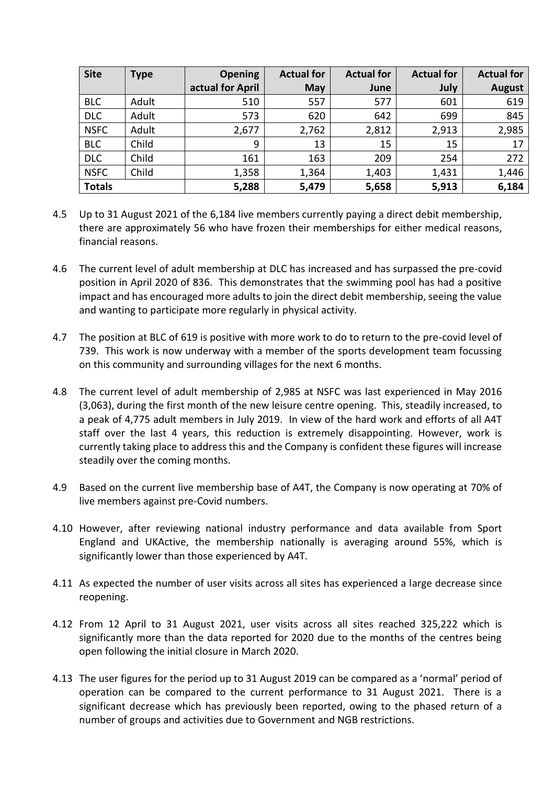| <b>Site</b>   | <b>Type</b> | <b>Opening</b>   | <b>Actual for</b> | <b>Actual for</b> | <b>Actual for</b> | <b>Actual for</b> |
|---------------|-------------|------------------|-------------------|-------------------|-------------------|-------------------|
|               |             | actual for April | May               | June              | July              | <b>August</b>     |
| <b>BLC</b>    | Adult       | 510              | 557               | 577               | 601               | 619               |
| <b>DLC</b>    | Adult       | 573              | 620               | 642               | 699               | 845               |
| <b>NSFC</b>   | Adult       | 2,677            | 2,762             | 2,812             | 2,913             | 2,985             |
| <b>BLC</b>    | Child       | 9                | 13                | 15                | 15                | 17                |
| <b>DLC</b>    | Child       | 161              | 163               | 209               | 254               | 272               |
| <b>NSFC</b>   | Child       | 1,358            | 1,364             | 1,403             | 1,431             | 1,446             |
| <b>Totals</b> |             | 5,288            | 5,479             | 5,658             | 5,913             | 6,184             |

- 4.5 Up to 31 August 2021 of the 6,184 live members currently paying a direct debit membership, there are approximately 56 who have frozen their memberships for either medical reasons, financial reasons.
- 4.6 The current level of adult membership at DLC has increased and has surpassed the pre-covid position in April 2020 of 836. This demonstrates that the swimming pool has had a positive impact and has encouraged more adults to join the direct debit membership, seeing the value and wanting to participate more regularly in physical activity.
- 4.7 The position at BLC of 619 is positive with more work to do to return to the pre-covid level of 739. This work is now underway with a member of the sports development team focussing on this community and surrounding villages for the next 6 months.
- 4.8 The current level of adult membership of 2,985 at NSFC was last experienced in May 2016 (3,063), during the first month of the new leisure centre opening. This, steadily increased, to a peak of 4,775 adult members in July 2019. In view of the hard work and efforts of all A4T staff over the last 4 years, this reduction is extremely disappointing. However, work is currently taking place to address this and the Company is confident these figures will increase steadily over the coming months.
- 4.9 Based on the current live membership base of A4T, the Company is now operating at 70% of live members against pre-Covid numbers.
- 4.10 However, after reviewing national industry performance and data available from Sport England and UKActive, the membership nationally is averaging around 55%, which is significantly lower than those experienced by A4T.
- 4.11 As expected the number of user visits across all sites has experienced a large decrease since reopening.
- 4.12 From 12 April to 31 August 2021, user visits across all sites reached 325,222 which is significantly more than the data reported for 2020 due to the months of the centres being open following the initial closure in March 2020.
- 4.13 The user figures for the period up to 31 August 2019 can be compared as a 'normal' period of operation can be compared to the current performance to 31 August 2021. There is a significant decrease which has previously been reported, owing to the phased return of a number of groups and activities due to Government and NGB restrictions.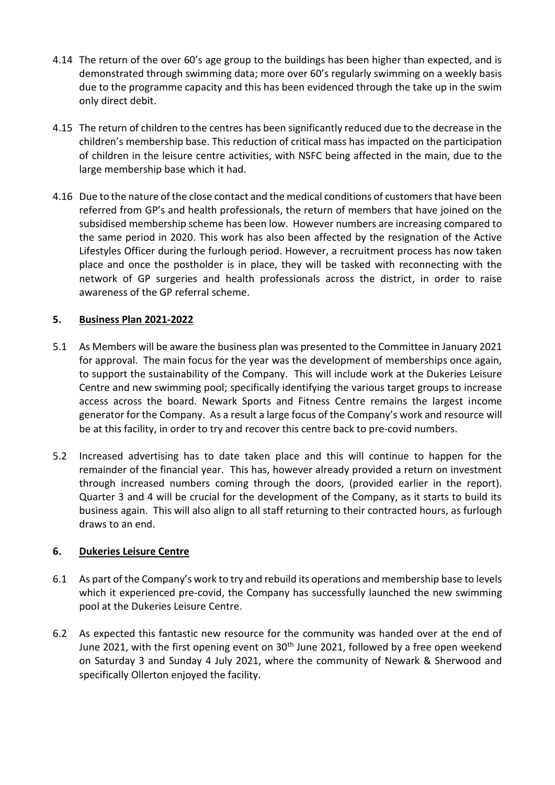- 4.14 The return of the over 60's age group to the buildings has been higher than expected, and is demonstrated through swimming data; more over 60's regularly swimming on a weekly basis due to the programme capacity and this has been evidenced through the take up in the swim only direct debit.
- 4.15 The return of children to the centres has been significantly reduced due to the decrease in the children's membership base. This reduction of critical mass has impacted on the participation of children in the leisure centre activities, with NSFC being affected in the main, due to the large membership base which it had.
- 4.16 Due to the nature of the close contact and the medical conditions of customers that have been referred from GP's and health professionals, the return of members that have joined on the subsidised membership scheme has been low. However numbers are increasing compared to the same period in 2020. This work has also been affected by the resignation of the Active Lifestyles Officer during the furlough period. However, a recruitment process has now taken place and once the postholder is in place, they will be tasked with reconnecting with the network of GP surgeries and health professionals across the district, in order to raise awareness of the GP referral scheme.

## **5. Business Plan 2021-2022**

- 5.1 As Members will be aware the business plan was presented to the Committee in January 2021 for approval. The main focus for the year was the development of memberships once again, to support the sustainability of the Company. This will include work at the Dukeries Leisure Centre and new swimming pool; specifically identifying the various target groups to increase access across the board. Newark Sports and Fitness Centre remains the largest income generator for the Company. As a result a large focus of the Company's work and resource will be at this facility, in order to try and recover this centre back to pre-covid numbers.
- 5.2 Increased advertising has to date taken place and this will continue to happen for the remainder of the financial year. This has, however already provided a return on investment through increased numbers coming through the doors, (provided earlier in the report). Quarter 3 and 4 will be crucial for the development of the Company, as it starts to build its business again. This will also align to all staff returning to their contracted hours, as furlough draws to an end.

## **6. Dukeries Leisure Centre**

- 6.1 As part of the Company's work to try and rebuild its operations and membership base to levels which it experienced pre-covid, the Company has successfully launched the new swimming pool at the Dukeries Leisure Centre.
- 6.2 As expected this fantastic new resource for the community was handed over at the end of June 2021, with the first opening event on  $30<sup>th</sup>$  June 2021, followed by a free open weekend on Saturday 3 and Sunday 4 July 2021, where the community of Newark & Sherwood and specifically Ollerton enjoyed the facility.